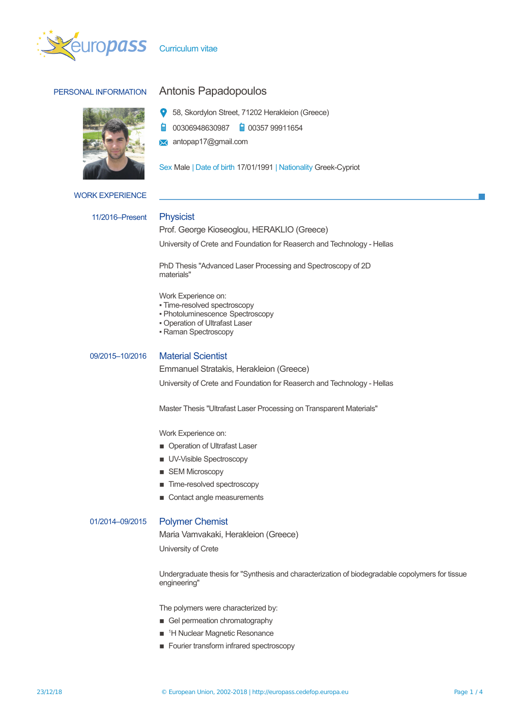



# PERSONAL INFORMATION Antonis Papadopoulos

- 58, Skordylon Street, 71202 Herakleion (Greece)
- 00306948630987 a 00357 99911654 自
- **X** antopap17@gmail.com

Sex Male | Date of birth 17/01/1991 | Nationality Greek-Cypriot

### WORK EXPERIENCE

### 11/2016–Present Physicist

Prof. George Kioseoglou, HERAKLIO (Greece)

University of Crete and Foundation for Reaserch and Technology - Hellas

PhD Thesis "Advanced Laser Processing and Spectroscopy of 2D materials"

Work Experience on:

- Time-resolved spectroscopy
- Photoluminescence Spectroscopy
- Operation of Ultrafast Laser
- Raman Spectroscopy

## 09/2015–10/2016 Material Scientist

Emmanuel Stratakis, Herakleion (Greece)

University of Crete and Foundation for Reaserch and Technology - Hellas

Master Thesis "Ultrafast Laser Processing on Transparent Materials"

Work Experience on:

- **Operation of Ultrafast Laser**
- **UV-Visible Spectroscopy**
- **B** SEM Microscopy
- Time-resolved spectroscopy
- Contact angle measurements

### 01/2014–09/2015 Polymer Chemist

Maria Vamvakaki, Herakleion (Greece)

University of Crete

Undergraduate thesis for "Synthesis and characterization of biodegradable copolymers for tissue engineering"

The polymers were characterized by:

- **E** Gel permeation chromatography
- <sup>1</sup>H Nuclear Magnetic Resonance
- **EXECUTE:** Fourier transform infrared spectroscopy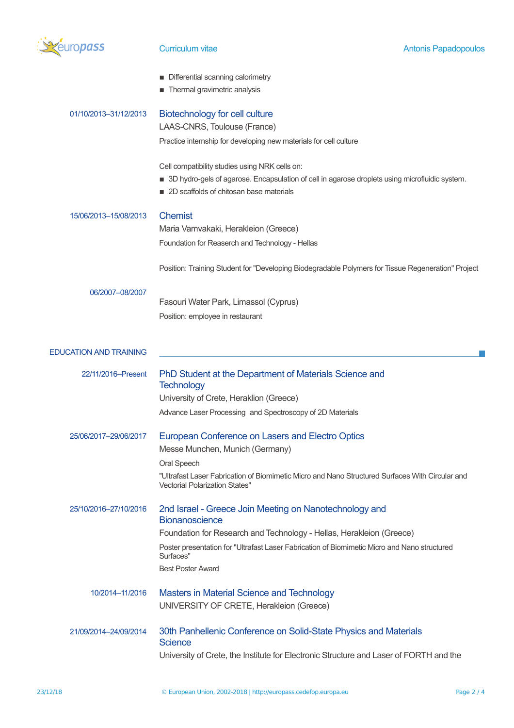

|  |  |  | Differential scanning calorimetry |  |
|--|--|--|-----------------------------------|--|
|--|--|--|-----------------------------------|--|

**n** Thermal gravimetric analysis

| 01/10/2013-31/12/2013         | Biotechnology for cell culture<br>LAAS-CNRS, Toulouse (France)<br>Practice internship for developing new materials for cell culture<br>Cell compatibility studies using NRK cells on:<br>■ 3D hydro-gels of agarose. Encapsulation of cell in agarose droplets using microfluidic system.<br>2D scaffolds of chitosan base materials |
|-------------------------------|--------------------------------------------------------------------------------------------------------------------------------------------------------------------------------------------------------------------------------------------------------------------------------------------------------------------------------------|
| 15/06/2013-15/08/2013         | <b>Chemist</b><br>Maria Vamvakaki, Herakleion (Greece)<br>Foundation for Reaserch and Technology - Hellas                                                                                                                                                                                                                            |
| 06/2007-08/2007               | Position: Training Student for "Developing Biodegradable Polymers for Tissue Regeneration" Project<br>Fasouri Water Park, Limassol (Cyprus)<br>Position: employee in restaurant                                                                                                                                                      |
| <b>EDUCATION AND TRAINING</b> |                                                                                                                                                                                                                                                                                                                                      |
| 22/11/2016-Present            | PhD Student at the Department of Materials Science and<br><b>Technology</b><br>University of Crete, Heraklion (Greece)<br>Advance Laser Processing and Spectroscopy of 2D Materials                                                                                                                                                  |
| 25/06/2017-29/06/2017         | European Conference on Lasers and Electro Optics<br>Messe Munchen, Munich (Germany)<br>Oral Speech<br>"Ultrafast Laser Fabrication of Biomimetic Micro and Nano Structured Surfaces With Circular and<br><b>Vectorial Polarization States"</b>                                                                                       |
| 25/10/2016-27/10/2016         | 2nd Israel - Greece Join Meeting on Nanotechnology and<br><b>Bionanoscience</b><br>Foundation for Research and Technology - Hellas, Herakleion (Greece)<br>Poster presentation for "Ultrafast Laser Fabrication of Biomimetic Micro and Nano structured<br>Surfaces"<br><b>Best Poster Award</b>                                     |
| 10/2014-11/2016               | <b>Masters in Material Science and Technology</b><br>UNIVERSITY OF CRETE, Herakleion (Greece)                                                                                                                                                                                                                                        |
| 21/09/2014-24/09/2014         | 30th Panhellenic Conference on Solid-State Physics and Materials<br><b>Science</b><br>University of Crete, the Institute for Electronic Structure and Laser of FORTH and the                                                                                                                                                         |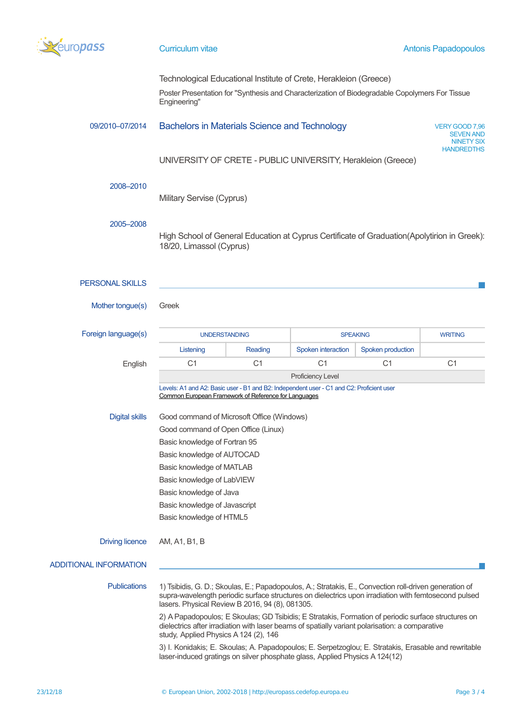

Technological Educational Institute of Crete, Herakleion (Greece)

Poster Presentation for "Synthesis and Characterization of Biodegradable Copolymers For Tissue Engineering"

### 09/2010–07/2014 Bachelors in Materials Science and Technology VERY GOOD 7,96

SEVEN AND NINETY SIX **HANDREDTHS** 

UNIVERSITY OF CRETE - PUBLIC UNIVERSITY, Herakleion (Greece)

### 2008–2010

Military Servise (Cyprus)

### 2005–2008

High School of General Education at Cyprus Certificate of Graduation(Apolytirion in Greek): 18/20, Limassol (Cyprus)

### PERSONAL SKILLS

Mother tongue(s) Greek

| Foreign language(s)                                                                                                                                                                                                                                                                                                                                                                                                                    | <b>UNDERSTANDING</b>                                                                                                                                                                                                                                              |                | <b>SPEAKING</b>    |                   | <b>WRITING</b> |  |  |  |
|----------------------------------------------------------------------------------------------------------------------------------------------------------------------------------------------------------------------------------------------------------------------------------------------------------------------------------------------------------------------------------------------------------------------------------------|-------------------------------------------------------------------------------------------------------------------------------------------------------------------------------------------------------------------------------------------------------------------|----------------|--------------------|-------------------|----------------|--|--|--|
|                                                                                                                                                                                                                                                                                                                                                                                                                                        | Listening                                                                                                                                                                                                                                                         | Reading        | Spoken interaction | Spoken production |                |  |  |  |
| English                                                                                                                                                                                                                                                                                                                                                                                                                                | C <sub>1</sub>                                                                                                                                                                                                                                                    | C <sub>1</sub> | C <sub>1</sub>     | C <sub>1</sub>    | C <sub>1</sub> |  |  |  |
|                                                                                                                                                                                                                                                                                                                                                                                                                                        | Proficiency Level                                                                                                                                                                                                                                                 |                |                    |                   |                |  |  |  |
|                                                                                                                                                                                                                                                                                                                                                                                                                                        | Levels: A1 and A2: Basic user - B1 and B2: Independent user - C1 and C2: Proficient user<br>Common European Framework of Reference for Languages                                                                                                                  |                |                    |                   |                |  |  |  |
| <b>Digital skills</b>                                                                                                                                                                                                                                                                                                                                                                                                                  | Good command of Microsoft Office (Windows)                                                                                                                                                                                                                        |                |                    |                   |                |  |  |  |
|                                                                                                                                                                                                                                                                                                                                                                                                                                        | Good command of Open Office (Linux)                                                                                                                                                                                                                               |                |                    |                   |                |  |  |  |
|                                                                                                                                                                                                                                                                                                                                                                                                                                        | Basic knowledge of Fortran 95                                                                                                                                                                                                                                     |                |                    |                   |                |  |  |  |
|                                                                                                                                                                                                                                                                                                                                                                                                                                        | Basic knowledge of AUTOCAD                                                                                                                                                                                                                                        |                |                    |                   |                |  |  |  |
|                                                                                                                                                                                                                                                                                                                                                                                                                                        | Basic knowledge of MATLAB                                                                                                                                                                                                                                         |                |                    |                   |                |  |  |  |
|                                                                                                                                                                                                                                                                                                                                                                                                                                        | Basic knowledge of LabVIEW                                                                                                                                                                                                                                        |                |                    |                   |                |  |  |  |
|                                                                                                                                                                                                                                                                                                                                                                                                                                        | Basic knowledge of Java                                                                                                                                                                                                                                           |                |                    |                   |                |  |  |  |
|                                                                                                                                                                                                                                                                                                                                                                                                                                        | Basic knowledge of Javascript                                                                                                                                                                                                                                     |                |                    |                   |                |  |  |  |
|                                                                                                                                                                                                                                                                                                                                                                                                                                        | Basic knowledge of HTML5                                                                                                                                                                                                                                          |                |                    |                   |                |  |  |  |
| <b>Driving licence</b>                                                                                                                                                                                                                                                                                                                                                                                                                 | AM, A1, B1, B                                                                                                                                                                                                                                                     |                |                    |                   |                |  |  |  |
| <b>ADDITIONAL INFORMATION</b>                                                                                                                                                                                                                                                                                                                                                                                                          |                                                                                                                                                                                                                                                                   |                |                    |                   |                |  |  |  |
| <b>Publications</b>                                                                                                                                                                                                                                                                                                                                                                                                                    | 1) Tsibidis, G. D.; Skoulas, E.; Papadopoulos, A.; Stratakis, E., Convection roll-driven generation of<br>supra-wavelength periodic surface structures on dielectrics upon irradiation with femtosecond pulsed<br>lasers. Physical Review B 2016, 94 (8), 081305. |                |                    |                   |                |  |  |  |
| 2) A Papadopoulos; E Skoulas; GD Tsibidis; E Stratakis, Formation of periodic surface structures on<br>dielectrics after irradiation with laser beams of spatially variant polarisation: a comparative<br>study, Applied Physics A 124 (2), 146<br>3) I. Konidakis; E. Skoulas; A. Papadopoulos; E. Serpetzoglou; E. Stratakis, Erasable and rewritable<br>laser-induced gratings on silver phosphate glass, Applied Physics A 124(12) |                                                                                                                                                                                                                                                                   |                |                    |                   |                |  |  |  |